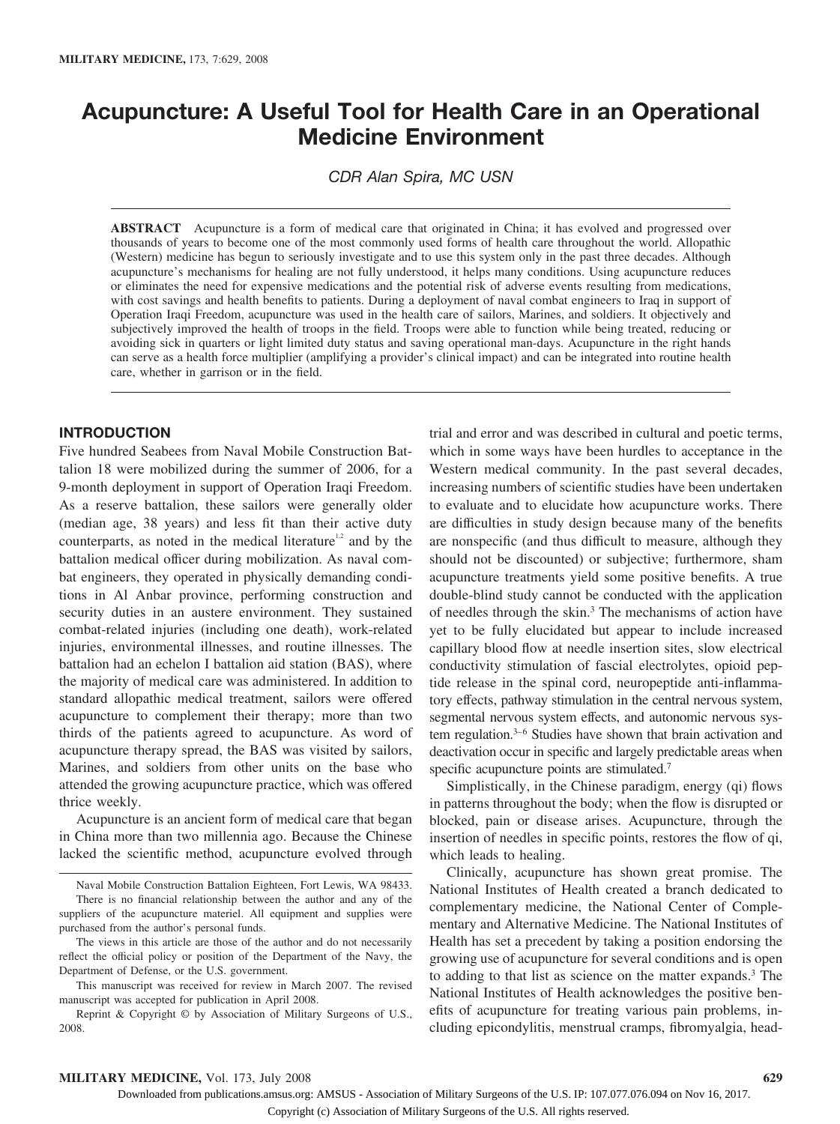# **Acupuncture: A Useful Tool for Health Care in an Operational Medicine Environment**

*CDR Alan Spira, MC USN*

**ABSTRACT** Acupuncture is a form of medical care that originated in China; it has evolved and progressed over thousands of years to become one of the most commonly used forms of health care throughout the world. Allopathic (Western) medicine has begun to seriously investigate and to use this system only in the past three decades. Although acupuncture's mechanisms for healing are not fully understood, it helps many conditions. Using acupuncture reduces or eliminates the need for expensive medications and the potential risk of adverse events resulting from medications, with cost savings and health benefits to patients. During a deployment of naval combat engineers to Iraq in support of Operation Iraqi Freedom, acupuncture was used in the health care of sailors, Marines, and soldiers. It objectively and subjectively improved the health of troops in the field. Troops were able to function while being treated, reducing or avoiding sick in quarters or light limited duty status and saving operational man-days. Acupuncture in the right hands can serve as a health force multiplier (amplifying a provider's clinical impact) and can be integrated into routine health care, whether in garrison or in the field.

# **INTRODUCTION**

Five hundred Seabees from Naval Mobile Construction Battalion 18 were mobilized during the summer of 2006, for a 9-month deployment in support of Operation Iraqi Freedom. As a reserve battalion, these sailors were generally older (median age, 38 years) and less fit than their active duty counterparts, as noted in the medical literature<sup>1,2</sup> and by the battalion medical officer during mobilization. As naval combat engineers, they operated in physically demanding conditions in Al Anbar province, performing construction and security duties in an austere environment. They sustained combat-related injuries (including one death), work-related injuries, environmental illnesses, and routine illnesses. The battalion had an echelon I battalion aid station (BAS), where the majority of medical care was administered. In addition to standard allopathic medical treatment, sailors were offered acupuncture to complement their therapy; more than two thirds of the patients agreed to acupuncture. As word of acupuncture therapy spread, the BAS was visited by sailors, Marines, and soldiers from other units on the base who attended the growing acupuncture practice, which was offered thrice weekly.

Acupuncture is an ancient form of medical care that began in China more than two millennia ago. Because the Chinese lacked the scientific method, acupuncture evolved through

There is no financial relationship between the author and any of the suppliers of the acupuncture materiel. All equipment and supplies were purchased from the author's personal funds.

trial and error and was described in cultural and poetic terms, which in some ways have been hurdles to acceptance in the Western medical community. In the past several decades, increasing numbers of scientific studies have been undertaken to evaluate and to elucidate how acupuncture works. There are difficulties in study design because many of the benefits are nonspecific (and thus difficult to measure, although they should not be discounted) or subjective; furthermore, sham acupuncture treatments yield some positive benefits. A true double-blind study cannot be conducted with the application of needles through the skin.3 The mechanisms of action have yet to be fully elucidated but appear to include increased capillary blood flow at needle insertion sites, slow electrical conductivity stimulation of fascial electrolytes, opioid peptide release in the spinal cord, neuropeptide anti-inflammatory effects, pathway stimulation in the central nervous system, segmental nervous system effects, and autonomic nervous system regulation.<sup>3-6</sup> Studies have shown that brain activation and deactivation occur in specific and largely predictable areas when specific acupuncture points are stimulated.<sup>7</sup>

Simplistically, in the Chinese paradigm, energy (qi) flows in patterns throughout the body; when the flow is disrupted or blocked, pain or disease arises. Acupuncture, through the insertion of needles in specific points, restores the flow of qi, which leads to healing.

Clinically, acupuncture has shown great promise. The National Institutes of Health created a branch dedicated to complementary medicine, the National Center of Complementary and Alternative Medicine. The National Institutes of Health has set a precedent by taking a position endorsing the growing use of acupuncture for several conditions and is open to adding to that list as science on the matter expands.3 The National Institutes of Health acknowledges the positive benefits of acupuncture for treating various pain problems, including epicondylitis, menstrual cramps, fibromyalgia, head-

Downloaded from publications.amsus.org: AMSUS - Association of Military Surgeons of the U.S. IP: 107.077.076.094 on Nov 16, 2017. Copyright (c) Association of Military Surgeons of the U.S. All rights reserved.

Naval Mobile Construction Battalion Eighteen, Fort Lewis, WA 98433.

The views in this article are those of the author and do not necessarily reflect the official policy or position of the Department of the Navy, the Department of Defense, or the U.S. government.

This manuscript was received for review in March 2007. The revised manuscript was accepted for publication in April 2008.

Reprint & Copyright © by Association of Military Surgeons of U.S., 2008.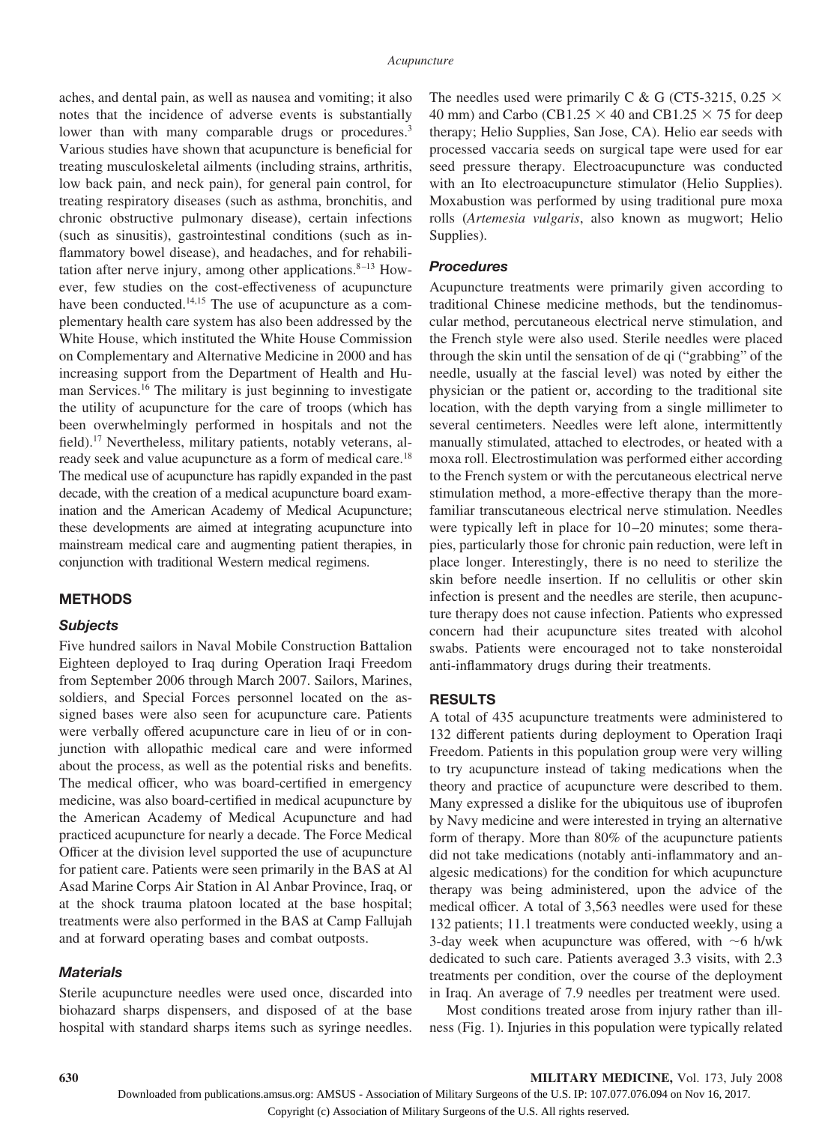aches, and dental pain, as well as nausea and vomiting; it also notes that the incidence of adverse events is substantially lower than with many comparable drugs or procedures.<sup>3</sup> Various studies have shown that acupuncture is beneficial for treating musculoskeletal ailments (including strains, arthritis, low back pain, and neck pain), for general pain control, for treating respiratory diseases (such as asthma, bronchitis, and chronic obstructive pulmonary disease), certain infections (such as sinusitis), gastrointestinal conditions (such as inflammatory bowel disease), and headaches, and for rehabilitation after nerve injury, among other applications.<sup>8-13</sup> However, few studies on the cost-effectiveness of acupuncture have been conducted.<sup>14,15</sup> The use of acupuncture as a complementary health care system has also been addressed by the White House, which instituted the White House Commission on Complementary and Alternative Medicine in 2000 and has increasing support from the Department of Health and Human Services.16 The military is just beginning to investigate the utility of acupuncture for the care of troops (which has been overwhelmingly performed in hospitals and not the field).17 Nevertheless, military patients, notably veterans, already seek and value acupuncture as a form of medical care.18 The medical use of acupuncture has rapidly expanded in the past decade, with the creation of a medical acupuncture board examination and the American Academy of Medical Acupuncture; these developments are aimed at integrating acupuncture into mainstream medical care and augmenting patient therapies, in conjunction with traditional Western medical regimens.

### **METHODS**

### *Subjects*

Five hundred sailors in Naval Mobile Construction Battalion Eighteen deployed to Iraq during Operation Iraqi Freedom from September 2006 through March 2007. Sailors, Marines, soldiers, and Special Forces personnel located on the assigned bases were also seen for acupuncture care. Patients were verbally offered acupuncture care in lieu of or in conjunction with allopathic medical care and were informed about the process, as well as the potential risks and benefits. The medical officer, who was board-certified in emergency medicine, was also board-certified in medical acupuncture by the American Academy of Medical Acupuncture and had practiced acupuncture for nearly a decade. The Force Medical Officer at the division level supported the use of acupuncture for patient care. Patients were seen primarily in the BAS at Al Asad Marine Corps Air Station in Al Anbar Province, Iraq, or at the shock trauma platoon located at the base hospital; treatments were also performed in the BAS at Camp Fallujah and at forward operating bases and combat outposts.

# *Materials*

Sterile acupuncture needles were used once, discarded into biohazard sharps dispensers, and disposed of at the base hospital with standard sharps items such as syringe needles. The needles used were primarily C & G (CT5-3215, 0.25  $\times$ 40 mm) and Carbo (CB1.25  $\times$  40 and CB1.25  $\times$  75 for deep therapy; Helio Supplies, San Jose, CA). Helio ear seeds with processed vaccaria seeds on surgical tape were used for ear seed pressure therapy. Electroacupuncture was conducted with an Ito electroacupuncture stimulator (Helio Supplies). Moxabustion was performed by using traditional pure moxa rolls (*Artemesia vulgaris*, also known as mugwort; Helio Supplies).

# *Procedures*

Acupuncture treatments were primarily given according to traditional Chinese medicine methods, but the tendinomuscular method, percutaneous electrical nerve stimulation, and the French style were also used. Sterile needles were placed through the skin until the sensation of de qi ("grabbing" of the needle, usually at the fascial level) was noted by either the physician or the patient or, according to the traditional site location, with the depth varying from a single millimeter to several centimeters. Needles were left alone, intermittently manually stimulated, attached to electrodes, or heated with a moxa roll. Electrostimulation was performed either according to the French system or with the percutaneous electrical nerve stimulation method, a more-effective therapy than the morefamiliar transcutaneous electrical nerve stimulation. Needles were typically left in place for 10–20 minutes; some therapies, particularly those for chronic pain reduction, were left in place longer. Interestingly, there is no need to sterilize the skin before needle insertion. If no cellulitis or other skin infection is present and the needles are sterile, then acupuncture therapy does not cause infection. Patients who expressed concern had their acupuncture sites treated with alcohol swabs. Patients were encouraged not to take nonsteroidal anti-inflammatory drugs during their treatments.

### **RESULTS**

A total of 435 acupuncture treatments were administered to 132 different patients during deployment to Operation Iraqi Freedom. Patients in this population group were very willing to try acupuncture instead of taking medications when the theory and practice of acupuncture were described to them. Many expressed a dislike for the ubiquitous use of ibuprofen by Navy medicine and were interested in trying an alternative form of therapy. More than 80% of the acupuncture patients did not take medications (notably anti-inflammatory and analgesic medications) for the condition for which acupuncture therapy was being administered, upon the advice of the medical officer. A total of 3,563 needles were used for these 132 patients; 11.1 treatments were conducted weekly, using a 3-day week when acupuncture was offered, with  $\sim$  6 h/wk dedicated to such care. Patients averaged 3.3 visits, with 2.3 treatments per condition, over the course of the deployment in Iraq. An average of 7.9 needles per treatment were used.

Most conditions treated arose from injury rather than illness (Fig. 1). Injuries in this population were typically related

Downloaded from publications.amsus.org: AMSUS - Association of Military Surgeons of the U.S. IP: 107.077.076.094 on Nov 16, 2017. Copyright (c) Association of Military Surgeons of the U.S. All rights reserved.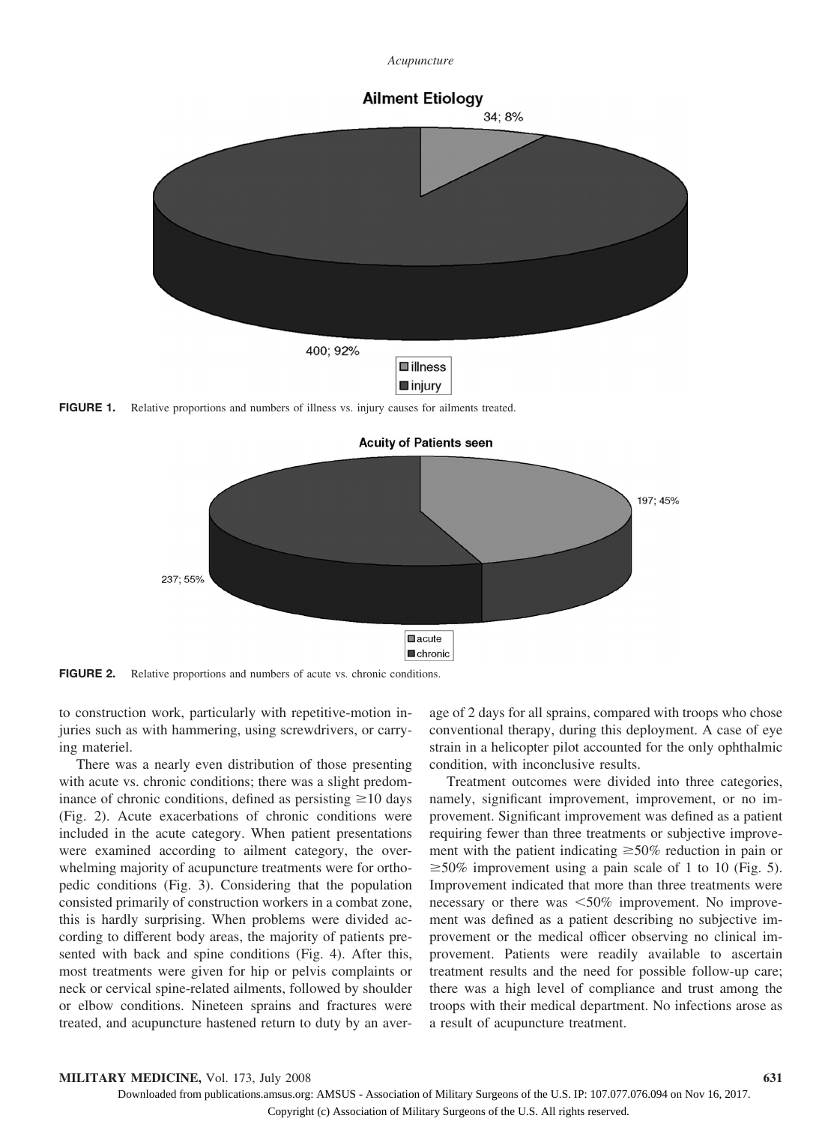*Acupuncture*





**FIGURE 1.** Relative proportions and numbers of illness vs. injury causes for ailments treated.



**FIGURE 2.** Relative proportions and numbers of acute vs. chronic conditions.

to construction work, particularly with repetitive-motion injuries such as with hammering, using screwdrivers, or carrying materiel.

There was a nearly even distribution of those presenting with acute vs. chronic conditions; there was a slight predominance of chronic conditions, defined as persisting  $\geq 10$  days (Fig. 2). Acute exacerbations of chronic conditions were included in the acute category. When patient presentations were examined according to ailment category, the overwhelming majority of acupuncture treatments were for orthopedic conditions (Fig. 3). Considering that the population consisted primarily of construction workers in a combat zone, this is hardly surprising. When problems were divided according to different body areas, the majority of patients presented with back and spine conditions (Fig. 4). After this, most treatments were given for hip or pelvis complaints or neck or cervical spine-related ailments, followed by shoulder or elbow conditions. Nineteen sprains and fractures were treated, and acupuncture hastened return to duty by an average of 2 days for all sprains, compared with troops who chose conventional therapy, during this deployment. A case of eye strain in a helicopter pilot accounted for the only ophthalmic condition, with inconclusive results.

Treatment outcomes were divided into three categories, namely, significant improvement, improvement, or no improvement. Significant improvement was defined as a patient requiring fewer than three treatments or subjective improvement with the patient indicating  $\geq$ 50% reduction in pain or  $\geq$ 50% improvement using a pain scale of 1 to 10 (Fig. 5). Improvement indicated that more than three treatments were necessary or there was  $\leq 50\%$  improvement. No improvement was defined as a patient describing no subjective improvement or the medical officer observing no clinical improvement. Patients were readily available to ascertain treatment results and the need for possible follow-up care; there was a high level of compliance and trust among the troops with their medical department. No infections arose as a result of acupuncture treatment.

# **MILITARY MEDICINE,** Vol. 173, July 2008 **631**

Downloaded from publications.amsus.org: AMSUS - Association of Military Surgeons of the U.S. IP: 107.077.076.094 on Nov 16, 2017. Copyright (c) Association of Military Surgeons of the U.S. All rights reserved.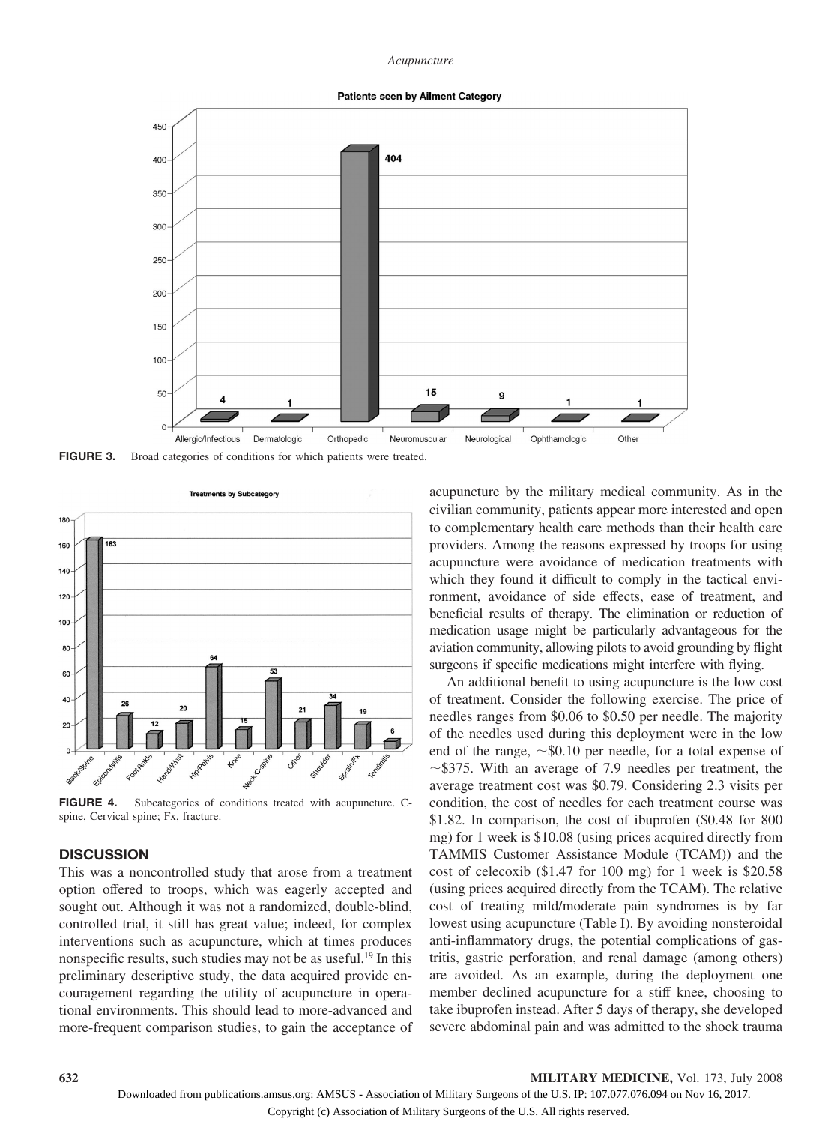#### *Acupuncture*

Patients seen by Ailment Category



FIGURE 3. Broad categories of conditions for which patients were treated.



**FIGURE 4.** Subcategories of conditions treated with acupuncture. Cspine, Cervical spine; Fx, fracture.

### **DISCUSSION**

This was a noncontrolled study that arose from a treatment option offered to troops, which was eagerly accepted and sought out. Although it was not a randomized, double-blind, controlled trial, it still has great value; indeed, for complex interventions such as acupuncture, which at times produces nonspecific results, such studies may not be as useful.19 In this preliminary descriptive study, the data acquired provide encouragement regarding the utility of acupuncture in operational environments. This should lead to more-advanced and more-frequent comparison studies, to gain the acceptance of acupuncture by the military medical community. As in the civilian community, patients appear more interested and open to complementary health care methods than their health care providers. Among the reasons expressed by troops for using acupuncture were avoidance of medication treatments with which they found it difficult to comply in the tactical environment, avoidance of side effects, ease of treatment, and beneficial results of therapy. The elimination or reduction of medication usage might be particularly advantageous for the aviation community, allowing pilots to avoid grounding by flight surgeons if specific medications might interfere with flying.

An additional benefit to using acupuncture is the low cost of treatment. Consider the following exercise. The price of needles ranges from \$0.06 to \$0.50 per needle. The majority of the needles used during this deployment were in the low end of the range,  $\sim$ \$0.10 per needle, for a total expense of  $\sim$ \$375. With an average of 7.9 needles per treatment, the average treatment cost was \$0.79. Considering 2.3 visits per condition, the cost of needles for each treatment course was \$1.82. In comparison, the cost of ibuprofen (\$0.48 for 800 mg) for 1 week is \$10.08 (using prices acquired directly from TAMMIS Customer Assistance Module (TCAM)) and the cost of celecoxib (\$1.47 for 100 mg) for 1 week is \$20.58 (using prices acquired directly from the TCAM). The relative cost of treating mild/moderate pain syndromes is by far lowest using acupuncture (Table I). By avoiding nonsteroidal anti-inflammatory drugs, the potential complications of gastritis, gastric perforation, and renal damage (among others) are avoided. As an example, during the deployment one member declined acupuncture for a stiff knee, choosing to take ibuprofen instead. After 5 days of therapy, she developed severe abdominal pain and was admitted to the shock trauma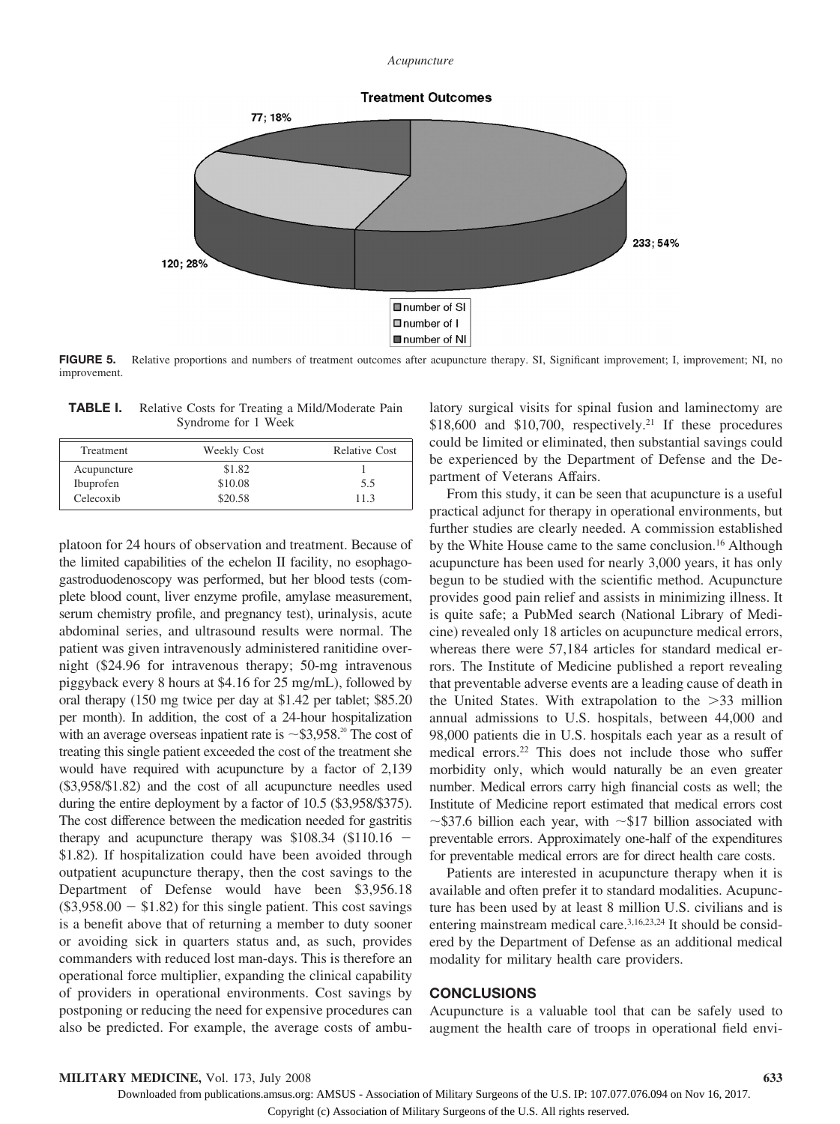#### *Acupuncture*

#### **Treatment Outcomes**



**FIGURE 5.** Relative proportions and numbers of treatment outcomes after acupuncture therapy. SI, Significant improvement; I, improvement; NI, no improvement.

| <b>TABLE I.</b> Relative Costs for Treating a Mild/Moderate Pain |
|------------------------------------------------------------------|
| Syndrome for 1 Week                                              |

| Treatment   | Weekly Cost | <b>Relative Cost</b> |
|-------------|-------------|----------------------|
| Acupuncture | \$1.82      |                      |
| Ibuprofen   | \$10.08     | 5.5                  |
| Celecoxib   | \$20.58     | 11.3                 |

platoon for 24 hours of observation and treatment. Because of the limited capabilities of the echelon II facility, no esophagogastroduodenoscopy was performed, but her blood tests (complete blood count, liver enzyme profile, amylase measurement, serum chemistry profile, and pregnancy test), urinalysis, acute abdominal series, and ultrasound results were normal. The patient was given intravenously administered ranitidine overnight (\$24.96 for intravenous therapy; 50-mg intravenous piggyback every 8 hours at \$4.16 for 25 mg/mL), followed by oral therapy (150 mg twice per day at \$1.42 per tablet; \$85.20 per month). In addition, the cost of a 24-hour hospitalization with an average overseas inpatient rate is  $\sim$  \$3,958.<sup>20</sup> The cost of treating this single patient exceeded the cost of the treatment she would have required with acupuncture by a factor of 2,139 (\$3,958/\$1.82) and the cost of all acupuncture needles used during the entire deployment by a factor of 10.5 (\$3,958/\$375). The cost difference between the medication needed for gastritis therapy and acupuncture therapy was  $$108.34$  (\$110.16 -\$1.82). If hospitalization could have been avoided through outpatient acupuncture therapy, then the cost savings to the Department of Defense would have been \$3,956.18  $(\$3,958.00 - \$1.82)$  for this single patient. This cost savings is a benefit above that of returning a member to duty sooner or avoiding sick in quarters status and, as such, provides commanders with reduced lost man-days. This is therefore an operational force multiplier, expanding the clinical capability of providers in operational environments. Cost savings by postponing or reducing the need for expensive procedures can also be predicted. For example, the average costs of ambulatory surgical visits for spinal fusion and laminectomy are \$18,600 and \$10,700, respectively.<sup>21</sup> If these procedures could be limited or eliminated, then substantial savings could be experienced by the Department of Defense and the Department of Veterans Affairs.

From this study, it can be seen that acupuncture is a useful practical adjunct for therapy in operational environments, but further studies are clearly needed. A commission established by the White House came to the same conclusion.<sup>16</sup> Although acupuncture has been used for nearly 3,000 years, it has only begun to be studied with the scientific method. Acupuncture provides good pain relief and assists in minimizing illness. It is quite safe; a PubMed search (National Library of Medicine) revealed only 18 articles on acupuncture medical errors, whereas there were 57,184 articles for standard medical errors. The Institute of Medicine published a report revealing that preventable adverse events are a leading cause of death in the United States. With extrapolation to the  $>33$  million annual admissions to U.S. hospitals, between 44,000 and 98,000 patients die in U.S. hospitals each year as a result of medical errors.22 This does not include those who suffer morbidity only, which would naturally be an even greater number. Medical errors carry high financial costs as well; the Institute of Medicine report estimated that medical errors cost  $\sim$ \$37.6 billion each year, with  $\sim$ \$17 billion associated with preventable errors. Approximately one-half of the expenditures for preventable medical errors are for direct health care costs.

Patients are interested in acupuncture therapy when it is available and often prefer it to standard modalities. Acupuncture has been used by at least 8 million U.S. civilians and is entering mainstream medical care.<sup>3,16,23,24</sup> It should be considered by the Department of Defense as an additional medical modality for military health care providers.

# **CONCLUSIONS**

Acupuncture is a valuable tool that can be safely used to augment the health care of troops in operational field envi-

Downloaded from publications.amsus.org: AMSUS - Association of Military Surgeons of the U.S. IP: 107.077.076.094 on Nov 16, 2017.

Copyright (c) Association of Military Surgeons of the U.S. All rights reserved.